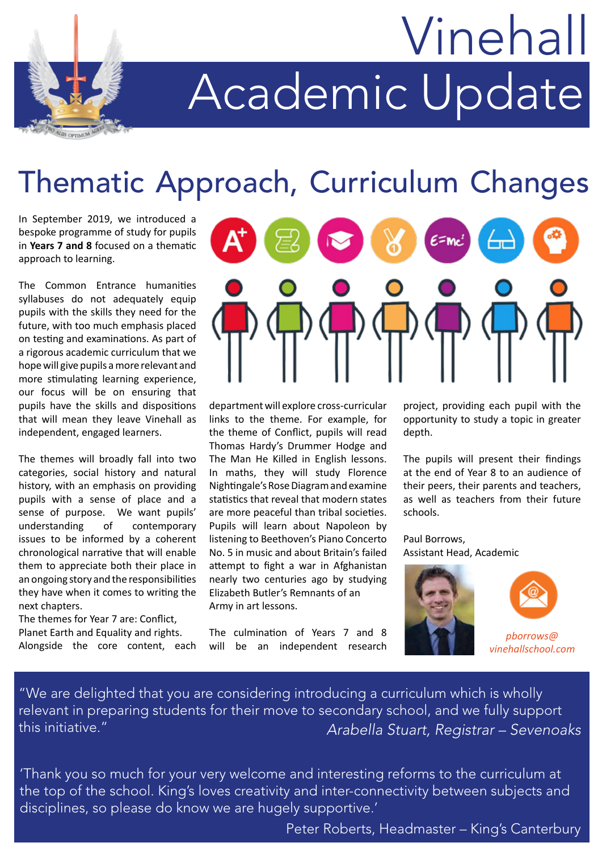# Academic Update Vinehall

## Thematic Approach, Curriculum Changes

In September 2019, we introduced a bespoke programme of study for pupils in **Years 7 and 8** focused on a thematic approach to learning.

The Common Entrance humanities syllabuses do not adequately equip pupils with the skills they need for the future, with too much emphasis placed on testing and examinations. As part of a rigorous academic curriculum that we hope will give pupils a more relevant and more stimulating learning experience, our focus will be on ensuring that pupils have the skills and dispositions that will mean they leave Vinehall as independent, engaged learners.

The themes will broadly fall into two categories, social history and natural history, with an emphasis on providing pupils with a sense of place and a sense of purpose. We want pupils' understanding of contemporary issues to be informed by a coherent chronological narrative that will enable them to appreciate both their place in an ongoing story and the responsibilities they have when it comes to writing the next chapters.

The themes for Year 7 are: Conflict, Planet Earth and Equality and rights.

Alongside the core content, each



department will explore cross-curricular links to the theme. For example, for the theme of Conflict, pupils will read Thomas Hardy's Drummer Hodge and The Man He Killed in English lessons. In maths, they will study Florence Nightingale's Rose Diagram and examine statistics that reveal that modern states are more peaceful than tribal societies. Pupils will learn about Napoleon by listening to Beethoven's Piano Concerto No. 5 in music and about Britain's failed attempt to fight a war in Afghanistan nearly two centuries ago by studying Elizabeth Butler's Remnants of an Army in art lessons.

The culmination of Years 7 and 8 will be an independent research project, providing each pupil with the opportunity to study a topic in greater depth.

The pupils will present their findings at the end of Year 8 to an audience of their peers, their parents and teachers, as well as teachers from their future schools.

Paul Borrows, Assistant Head, Academic





*pborrows@ vinehallschool.com*

"We are delighted that you are considering introducing a curriculum which is wholly relevant in preparing students for their move to secondary school, and we fully support this initiative." *Arabella Stuart, Registrar – Sevenoaks*

'Thank you so much for your very welcome and interesting reforms to the curriculum at the top of the school. King's loves creativity and inter-connectivity between subjects and disciplines, so please do know we are hugely supportive.'

Peter Roberts, Headmaster – King's Canterbury